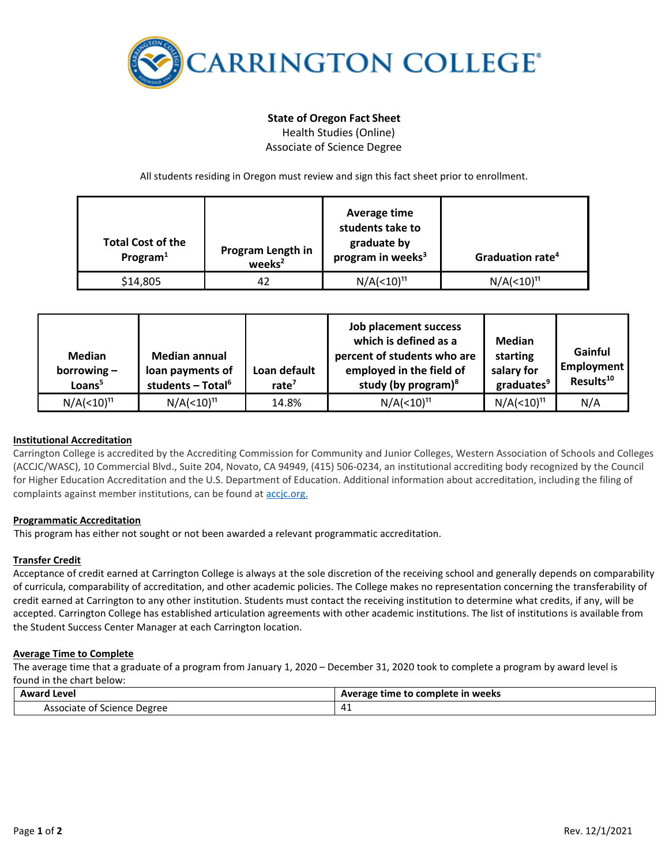

# **State of Oregon Fact Sheet**

Health Studies (Online) Associate of Science Degree

All students residing in Oregon must review and sign this fact sheet prior to enrollment.

| <b>Total Cost of the</b><br>Program $1$ | Program Length in<br>weeks <sup>2</sup> | Average time<br>students take to<br>graduate by<br>program in weeks <sup>3</sup> | Graduation rate <sup>4</sup>       |
|-----------------------------------------|-----------------------------------------|----------------------------------------------------------------------------------|------------------------------------|
| \$14,805                                | 42                                      | N/A( <sub>10</sub> ) <sup>11</sup>                                               | N/A( <sub>10</sub> ) <sup>11</sup> |

| <b>Median</b><br>borrowing $-$<br>Loans <sup>5</sup> | <b>Median annual</b><br>loan payments of<br>students - Total <sup>6</sup> | Loan default<br>rate <sup><math>7</math></sup> | Job placement success<br>which is defined as a<br>percent of students who are<br>employed in the field of<br>study (by program) $8$ | Median<br>starting<br>salary for<br>graduates <sup>9</sup> | Gainful<br>Employment<br>Results <sup>10</sup> |
|------------------------------------------------------|---------------------------------------------------------------------------|------------------------------------------------|-------------------------------------------------------------------------------------------------------------------------------------|------------------------------------------------------------|------------------------------------------------|
| N/A( <sub>10</sub> ) <sup>11</sup>                   | N/A( <sub>10</sub> ) <sup>11</sup>                                        | 14.8%                                          | N/A( <sub>10</sub> ) <sup>11</sup>                                                                                                  | $N/A(< 10)^{11}$                                           | N/A                                            |

## **Institutional Accreditation**

Carrington College is accredited by the Accrediting Commission for Community and Junior Colleges, Western Association of Schools and Colleges (ACCJC/WASC), 10 Commercial Blvd., Suite 204, Novato, CA 94949, (415) 506-0234, an institutional accrediting body recognized by the Council for Higher Education Accreditation and the U.S. Department of Education. Additional information about accreditation, including the filing of complaints against member institutions, can be found a[t accjc.org.](http://www.accjc.org/)

## **Programmatic Accreditation**

This program has either not sought or not been awarded a relevant programmatic accreditation.

## **Transfer Credit**

Acceptance of credit earned at Carrington College is always at the sole discretion of the receiving school and generally depends on comparability of curricula, comparability of accreditation, and other academic policies. The College makes no representation concerning the transferability of credit earned at Carrington to any other institution. Students must contact the receiving institution to determine what credits, if any, will be accepted. Carrington College has established articulation agreements with other academic institutions. The list of institutions is available from the Student Success Center Manager at each Carrington location.

## **Average Time to Complete**

The average time that a graduate of a program from January 1, 2020 – December 31, 2020 took to complete a program by award level is found in the chart below:

| <b>Award Level</b>                      | e time to complete in weeks<br>Average |  |
|-----------------------------------------|----------------------------------------|--|
| : Degree<br>Associate<br>.ot<br>Science | 4<br>- 14                              |  |